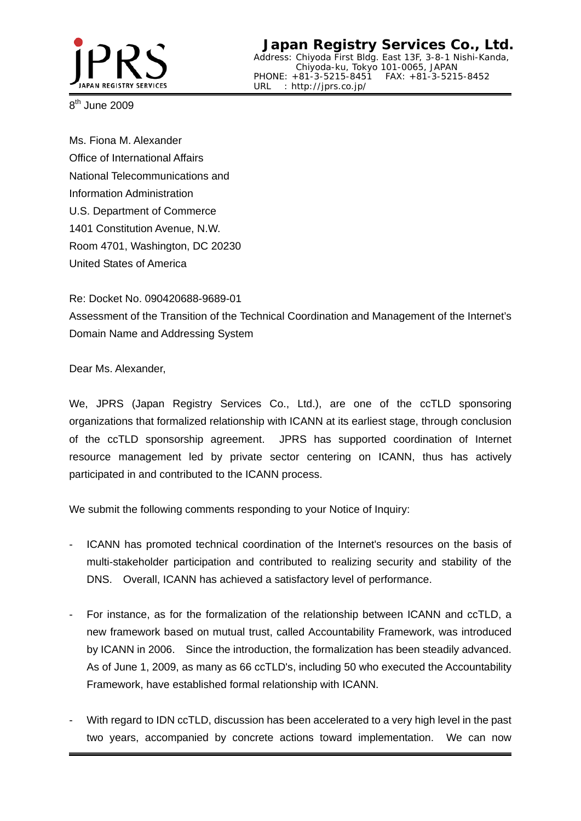

## **Japan Registry Services Co., Ltd.**

Address: Chiyoda First Bldg. East 13F, 3-8-1 Nishi-Kanda, Chiyoda-ku, Tokyo 101-0065, JAPAN PHONE: +81-3-5215-8451 FAX: +81-3-5215-8452 URL : http://jprs.co.jp/

8<sup>th</sup> June 2009

Ms. Fiona M. Alexander Office of International Affairs National Telecommunications and Information Administration U.S. Department of Commerce 1401 Constitution Avenue, N.W. Room 4701, Washington, DC 20230 United States of America

Re: Docket No. 090420688-9689-01 Assessment of the Transition of the Technical Coordination and Management of the Internet's Domain Name and Addressing System

Dear Ms. Alexander,

We, JPRS (Japan Registry Services Co., Ltd.), are one of the ccTLD sponsoring organizations that formalized relationship with ICANN at its earliest stage, through conclusion of the ccTLD sponsorship agreement. JPRS has supported coordination of Internet resource management led by private sector centering on ICANN, thus has actively participated in and contributed to the ICANN process.

We submit the following comments responding to your Notice of Inquiry:

- ICANN has promoted technical coordination of the Internet's resources on the basis of multi-stakeholder participation and contributed to realizing security and stability of the DNS. Overall, ICANN has achieved a satisfactory level of performance.
- For instance, as for the formalization of the relationship between ICANN and ccTLD, a new framework based on mutual trust, called Accountability Framework, was introduced by ICANN in 2006. Since the introduction, the formalization has been steadily advanced. As of June 1, 2009, as many as 66 ccTLD's, including 50 who executed the Accountability Framework, have established formal relationship with ICANN.
- With regard to IDN ccTLD, discussion has been accelerated to a very high level in the past two years, accompanied by concrete actions toward implementation. We can now